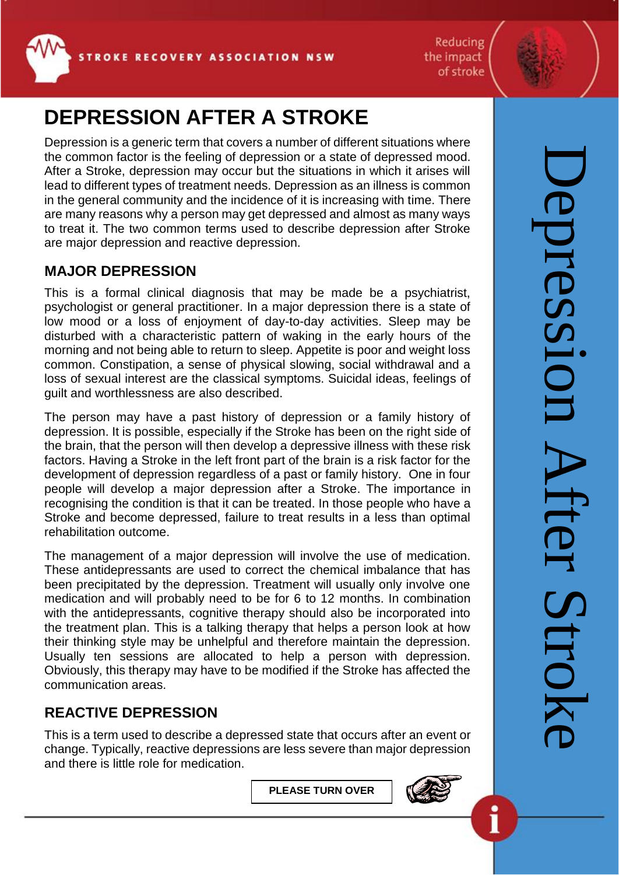Reducing the impact of stroke



## **DEPRESSION AFTER A STROKE**

Depression is a generic term that covers a number of different situations where the common factor is the feeling of depression or a state of depressed mood. After a Stroke, depression may occur but the situations in which it arises will lead to different types of treatment needs. Depression as an illness is common in the general community and the incidence of it is increasing with time. There are many reasons why a person may get depressed and almost as many ways to treat it. The two common terms used to describe depression after Stroke are major depression and reactive depression.

## **MAJOR DEPRESSION**

This is a formal clinical diagnosis that may be made be a psychiatrist, psychologist or general practitioner. In a major depression there is a state of low mood or a loss of enjoyment of day-to-day activities. Sleep may be disturbed with a characteristic pattern of waking in the early hours of the morning and not being able to return to sleep. Appetite is poor and weight loss common. Constipation, a sense of physical slowing, social withdrawal and a loss of sexual interest are the classical symptoms. Suicidal ideas, feelings of guilt and worthlessness are also described.

The person may have a past history of depression or a family history of depression. It is possible, especially if the Stroke has been on the right side of the brain, that the person will then develop a depressive illness with these risk factors. Having a Stroke in the left front part of the brain is a risk factor for the development of depression regardless of a past or family history. One in four people will develop a major depression after a Stroke. The importance in recognising the condition is that it can be treated. In those people who have a Stroke and become depressed, failure to treat results in a less than optimal rehabilitation outcome.

The management of a major depression will involve the use of medication. These antidepressants are used to correct the chemical imbalance that has been precipitated by the depression. Treatment will usually only involve one medication and will probably need to be for 6 to 12 months. In combination with the antidepressants, cognitive therapy should also be incorporated into the treatment plan. This is a talking therapy that helps a person look at how their thinking style may be unhelpful and therefore maintain the depression. Usually ten sessions are allocated to help a person with depression. Obviously, this therapy may have to be modified if the Stroke has affected the communication areas.

## **REACTIVE DEPRESSION**

This is a term used to describe a depressed state that occurs after an event or change. Typically, reactive depressions are less severe than major depression and there is little role for medication.

**PLEASE TURN OVER**



1